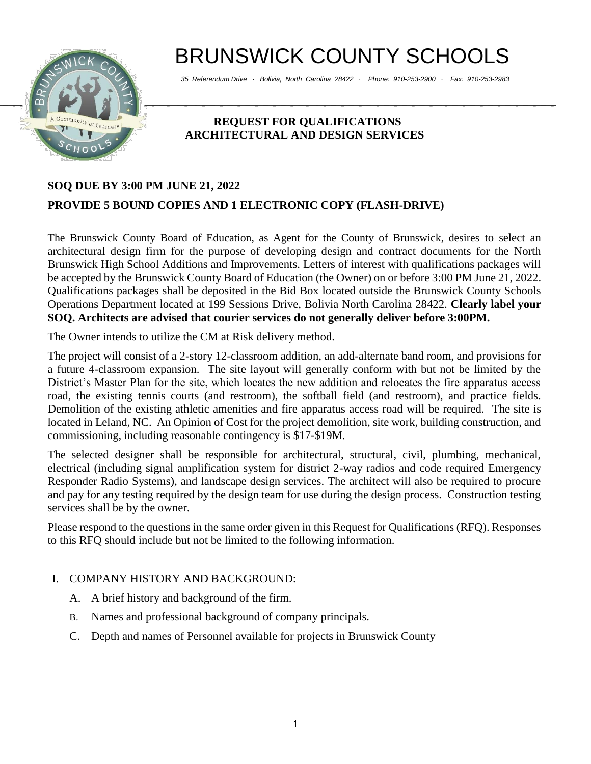# BRUNSWICK COUNTY SCHOOLS



*35 Referendum Drive ∙ Bolivia, North Carolina 28422 ∙ Phone: 910-253-2900 ∙ Fax: 910-253-2983*

## **REQUEST FOR QUALIFICATIONS ARCHITECTURAL AND DESIGN SERVICES**

# **SOQ DUE BY 3:00 PM JUNE 21, 2022 PROVIDE 5 BOUND COPIES AND 1 ELECTRONIC COPY (FLASH-DRIVE)**

The Brunswick County Board of Education, as Agent for the County of Brunswick, desires to select an architectural design firm for the purpose of developing design and contract documents for the North Brunswick High School Additions and Improvements. Letters of interest with qualifications packages will be accepted by the Brunswick County Board of Education (the Owner) on or before 3:00 PM June 21, 2022. Qualifications packages shall be deposited in the Bid Box located outside the Brunswick County Schools Operations Department located at 199 Sessions Drive, Bolivia North Carolina 28422. **Clearly label your SOQ. Architects are advised that courier services do not generally deliver before 3:00PM.**

The Owner intends to utilize the CM at Risk delivery method.

The project will consist of a 2-story 12-classroom addition, an add-alternate band room, and provisions for a future 4-classroom expansion. The site layout will generally conform with but not be limited by the District's Master Plan for the site, which locates the new addition and relocates the fire apparatus access road, the existing tennis courts (and restroom), the softball field (and restroom), and practice fields. Demolition of the existing athletic amenities and fire apparatus access road will be required. The site is located in Leland, NC. An Opinion of Cost for the project demolition, site work, building construction, and commissioning, including reasonable contingency is \$17-\$19M.

The selected designer shall be responsible for architectural, structural, civil, plumbing, mechanical, electrical (including signal amplification system for district 2-way radios and code required Emergency Responder Radio Systems), and landscape design services. The architect will also be required to procure and pay for any testing required by the design team for use during the design process. Construction testing services shall be by the owner.

Please respond to the questions in the same order given in this Request for Qualifications (RFQ). Responses to this RFQ should include but not be limited to the following information.

## I. COMPANY HISTORY AND BACKGROUND:

- A. A brief history and background of the firm.
- B. Names and professional background of company principals.
- C. Depth and names of Personnel available for projects in Brunswick County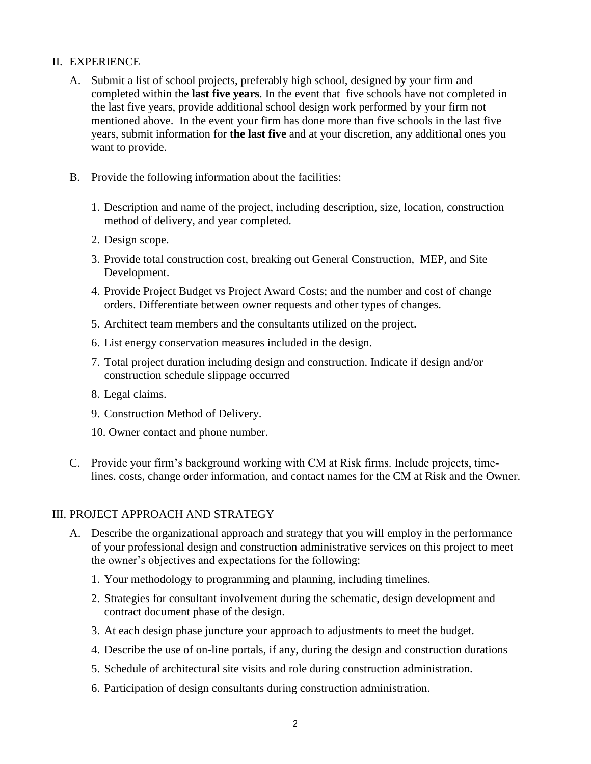#### II. EXPERIENCE

- A. Submit a list of school projects, preferably high school, designed by your firm and completed within the **last five years**. In the event that five schools have not completed in the last five years, provide additional school design work performed by your firm not mentioned above. In the event your firm has done more than five schools in the last five years, submit information for **the last five** and at your discretion, any additional ones you want to provide.
- B. Provide the following information about the facilities:
	- 1. Description and name of the project, including description, size, location, construction method of delivery, and year completed.
	- 2. Design scope.
	- 3. Provide total construction cost, breaking out General Construction, MEP, and Site Development.
	- 4. Provide Project Budget vs Project Award Costs; and the number and cost of change orders. Differentiate between owner requests and other types of changes.
	- 5. Architect team members and the consultants utilized on the project.
	- 6. List energy conservation measures included in the design.
	- 7. Total project duration including design and construction. Indicate if design and/or construction schedule slippage occurred
	- 8. Legal claims.
	- 9. Construction Method of Delivery.
	- 10. Owner contact and phone number.
- C. Provide your firm's background working with CM at Risk firms. Include projects, timelines. costs, change order information, and contact names for the CM at Risk and the Owner.

#### III. PROJECT APPROACH AND STRATEGY

- A. Describe the organizational approach and strategy that you will employ in the performance of your professional design and construction administrative services on this project to meet the owner's objectives and expectations for the following:
	- 1. Your methodology to programming and planning, including timelines.
	- 2. Strategies for consultant involvement during the schematic, design development and contract document phase of the design.
	- 3. At each design phase juncture your approach to adjustments to meet the budget.
	- 4. Describe the use of on-line portals, if any, during the design and construction durations
	- 5. Schedule of architectural site visits and role during construction administration.
	- 6. Participation of design consultants during construction administration.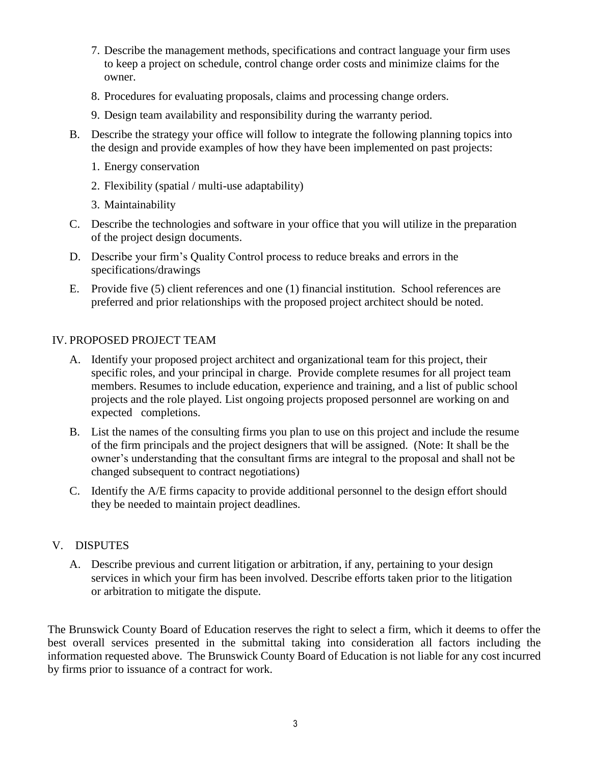- 7. Describe the management methods, specifications and contract language your firm uses to keep a project on schedule, control change order costs and minimize claims for the owner.
- 8. Procedures for evaluating proposals, claims and processing change orders.
- 9. Design team availability and responsibility during the warranty period.
- B. Describe the strategy your office will follow to integrate the following planning topics into the design and provide examples of how they have been implemented on past projects:
	- 1. Energy conservation
	- 2. Flexibility (spatial / multi-use adaptability)
	- 3. Maintainability
- C. Describe the technologies and software in your office that you will utilize in the preparation of the project design documents.
- D. Describe your firm's Quality Control process to reduce breaks and errors in the specifications/drawings
- E. Provide five (5) client references and one (1) financial institution. School references are preferred and prior relationships with the proposed project architect should be noted.

#### IV. PROPOSED PROJECT TEAM

- A. Identify your proposed project architect and organizational team for this project, their specific roles, and your principal in charge. Provide complete resumes for all project team members. Resumes to include education, experience and training, and a list of public school projects and the role played. List ongoing projects proposed personnel are working on and expected completions.
- B. List the names of the consulting firms you plan to use on this project and include the resume of the firm principals and the project designers that will be assigned. (Note: It shall be the owner's understanding that the consultant firms are integral to the proposal and shall not be changed subsequent to contract negotiations)
- C. Identify the A/E firms capacity to provide additional personnel to the design effort should they be needed to maintain project deadlines.

#### V. DISPUTES

A. Describe previous and current litigation or arbitration, if any, pertaining to your design services in which your firm has been involved. Describe efforts taken prior to the litigation or arbitration to mitigate the dispute.

The Brunswick County Board of Education reserves the right to select a firm, which it deems to offer the best overall services presented in the submittal taking into consideration all factors including the information requested above. The Brunswick County Board of Education is not liable for any cost incurred by firms prior to issuance of a contract for work.